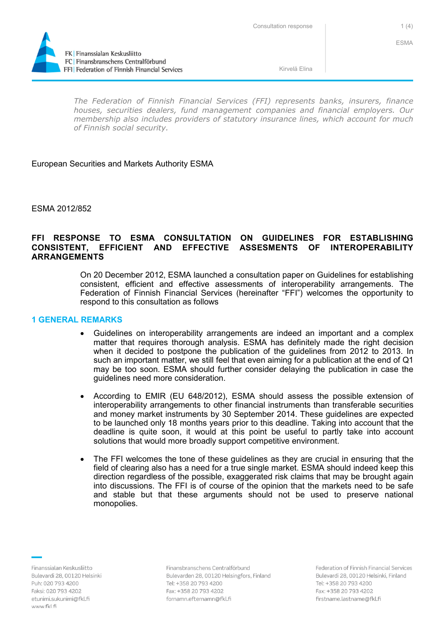

FFI Federation of Finnish Financial Services

*The Federation of Finnish Financial Services (FFI) represents banks, insurers, finance houses, securities dealers, fund management companies and financial employers. Our membership also includes providers of statutory insurance lines, which account for much of Finnish social security.*

## European Securities and Markets Authority ESMA

ESMA 2012/852

## **FFI RESPONSE TO ESMA CONSULTATION ON GUIDELINES FOR ESTABLISHING CONSISTENT, EFFICIENT AND EFFECTIVE ASSESMENTS OF INTEROPERABILITY ARRANGEMENTS**

On 20 December 2012, ESMA launched a consultation paper on Guidelines for establishing consistent, efficient and effective assessments of interoperability arrangements. The Federation of Finnish Financial Services (hereinafter "FFI") welcomes the opportunity to respond to this consultation as follows

## **1 GENERAL REMARKS**

- Guidelines on interoperability arrangements are indeed an important and a complex matter that requires thorough analysis. ESMA has definitely made the right decision when it decided to postpone the publication of the guidelines from 2012 to 2013. In such an important matter, we still feel that even aiming for a publication at the end of Q1 may be too soon. ESMA should further consider delaying the publication in case the guidelines need more consideration.
- According to EMIR (EU 648/2012), ESMA should assess the possible extension of interoperability arrangements to other financial instruments than transferable securities and money market instruments by 30 September 2014. These guidelines are expected to be launched only 18 months years prior to this deadline. Taking into account that the deadline is quite soon, it would at this point be useful to partly take into account solutions that would more broadly support competitive environment.
- The FFI welcomes the tone of these guidelines as they are crucial in ensuring that the field of clearing also has a need for a true single market. ESMA should indeed keep this direction regardless of the possible, exaggerated risk claims that may be brought again into discussions. The FFI is of course of the opinion that the markets need to be safe and stable but that these arguments should not be used to preserve national monopolies.

Finanssialan Keskusliitto Bulevardi 28, 00120 Helsinki Puh: 020 793 4200 Faksi: 020 793 4202 etunimi.sukunimi@fkl.fi www.fkl.fi

Finansbranschens Centralförbund Bulevarden 28, 00120 Helsingfors, Finland Tel: +358 20 793 4200 Fax: +358 20 793 4202 fornamn.efternamn@fkl.fi

Federation of Finnish Financial Services Bulevardi 28, 00120 Helsinki, Finland Tel: +358 20 793 4200 Fax: +358 20 793 4202 firstname.lastname@fkl.fi

ESMA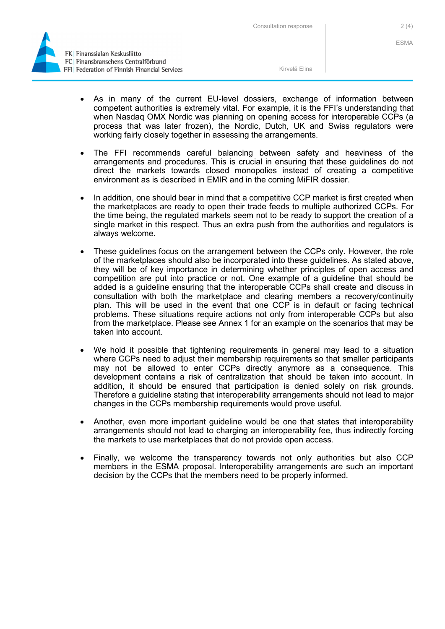Consultation response 2(4)



- As in many of the current EU-level dossiers, exchange of information between competent authorities is extremely vital. For example, it is the FFI's understanding that when Nasdaq OMX Nordic was planning on opening access for interoperable CCPs (a process that was later frozen), the Nordic, Dutch, UK and Swiss regulators were working fairly closely together in assessing the arrangements.
- The FFI recommends careful balancing between safety and heaviness of the arrangements and procedures. This is crucial in ensuring that these guidelines do not direct the markets towards closed monopolies instead of creating a competitive environment as is described in EMIR and in the coming MiFIR dossier.
- In addition, one should bear in mind that a competitive CCP market is first created when the marketplaces are ready to open their trade feeds to multiple authorized CCPs. For the time being, the regulated markets seem not to be ready to support the creation of a single market in this respect. Thus an extra push from the authorities and regulators is always welcome.
- These guidelines focus on the arrangement between the CCPs only. However, the role of the marketplaces should also be incorporated into these guidelines. As stated above, they will be of key importance in determining whether principles of open access and competition are put into practice or not. One example of a guideline that should be added is a guideline ensuring that the interoperable CCPs shall create and discuss in consultation with both the marketplace and clearing members a recovery/continuity plan. This will be used in the event that one CCP is in default or facing technical problems. These situations require actions not only from interoperable CCPs but also from the marketplace. Please see Annex 1 for an example on the scenarios that may be taken into account.
- We hold it possible that tightening requirements in general may lead to a situation where CCPs need to adjust their membership requirements so that smaller participants may not be allowed to enter CCPs directly anymore as a consequence. This development contains a risk of centralization that should be taken into account. In addition, it should be ensured that participation is denied solely on risk grounds. Therefore a guideline stating that interoperability arrangements should not lead to major changes in the CCPs membership requirements would prove useful.
- Another, even more important guideline would be one that states that interoperability arrangements should not lead to charging an interoperability fee, thus indirectly forcing the markets to use marketplaces that do not provide open access.
- Finally, we welcome the transparency towards not only authorities but also CCP members in the ESMA proposal. Interoperability arrangements are such an important decision by the CCPs that the members need to be properly informed.

ESMA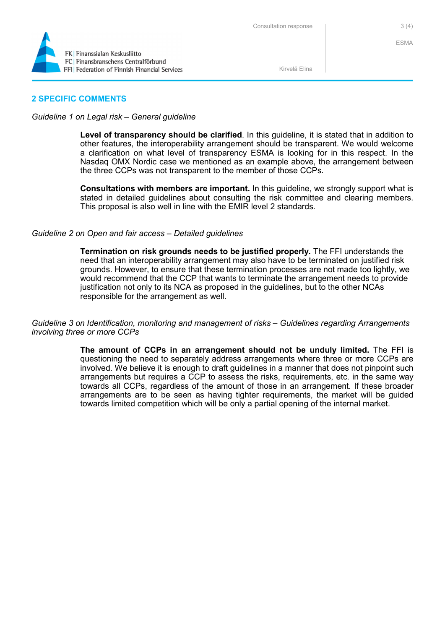

ESMA

Kirvelä Elina

## **2 SPECIFIC COMMENTS**

#### *Guideline 1 on Legal risk – General guideline*

**Level of transparency should be clarified**. In this guideline, it is stated that in addition to other features, the interoperability arrangement should be transparent. We would welcome a clarification on what level of transparency ESMA is looking for in this respect. In the Nasdaq OMX Nordic case we mentioned as an example above, the arrangement between the three CCPs was not transparent to the member of those CCPs.

**Consultations with members are important.** In this guideline, we strongly support what is stated in detailed guidelines about consulting the risk committee and clearing members. This proposal is also well in line with the EMIR level 2 standards.

#### *Guideline 2 on Open and fair access – Detailed guidelines*

**Termination on risk grounds needs to be justified properly.** The FFI understands the need that an interoperability arrangement may also have to be terminated on justified risk grounds. However, to ensure that these termination processes are not made too lightly, we would recommend that the CCP that wants to terminate the arrangement needs to provide justification not only to its NCA as proposed in the guidelines, but to the other NCAs responsible for the arrangement as well.

*Guideline 3 on Identification, monitoring and management of risks – Guidelines regarding Arrangements involving three or more CCPs* 

> **The amount of CCPs in an arrangement should not be unduly limited.** The FFI is questioning the need to separately address arrangements where three or more CCPs are involved. We believe it is enough to draft guidelines in a manner that does not pinpoint such arrangements but requires a CCP to assess the risks, requirements, etc. in the same way towards all CCPs, regardless of the amount of those in an arrangement. If these broader arrangements are to be seen as having tighter requirements, the market will be guided towards limited competition which will be only a partial opening of the internal market.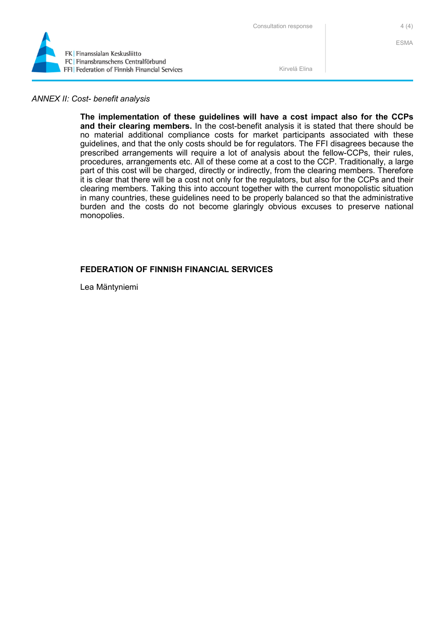

ESMA

Kirvelä Elina

## *ANNEX II: Cost- benefit analysis*

**The implementation of these guidelines will have a cost impact also for the CCPs and their clearing members.** In the cost-benefit analysis it is stated that there should be no material additional compliance costs for market participants associated with these guidelines, and that the only costs should be for regulators. The FFI disagrees because the prescribed arrangements will require a lot of analysis about the fellow-CCPs, their rules, procedures, arrangements etc. All of these come at a cost to the CCP. Traditionally, a large part of this cost will be charged, directly or indirectly, from the clearing members. Therefore it is clear that there will be a cost not only for the regulators, but also for the CCPs and their clearing members. Taking this into account together with the current monopolistic situation in many countries, these guidelines need to be properly balanced so that the administrative burden and the costs do not become glaringly obvious excuses to preserve national monopolies.

## **FEDERATION OF FINNISH FINANCIAL SERVICES**

Lea Mäntyniemi